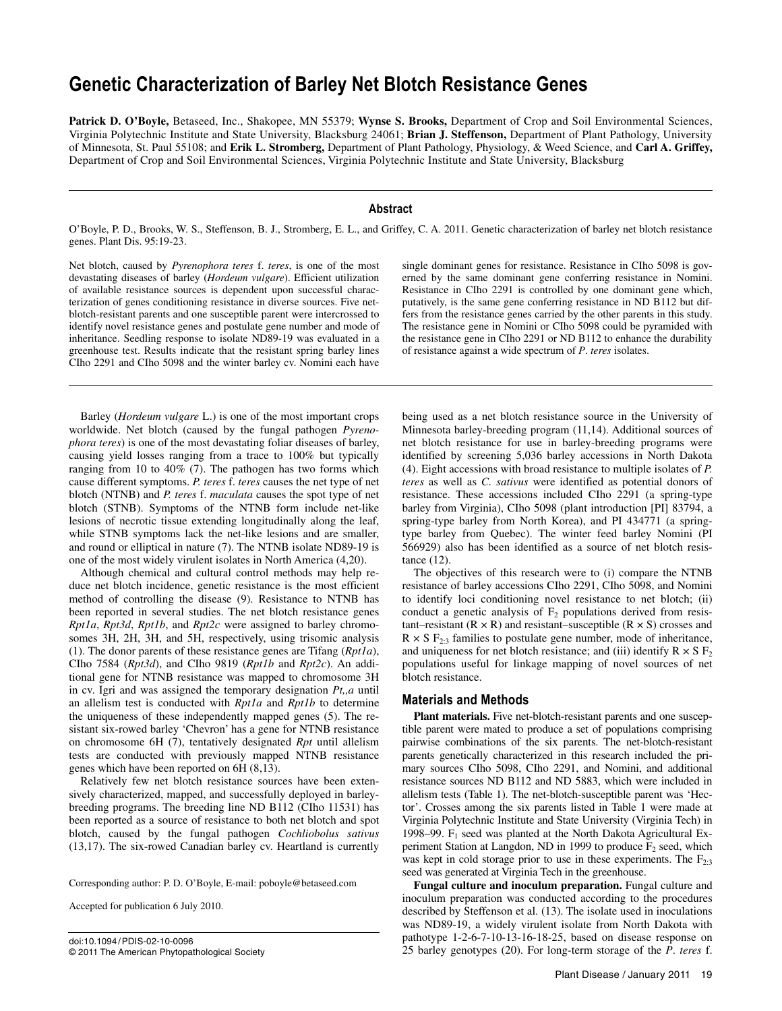# **Genetic Characterization of Barley Net Blotch Resistance Genes**

**Patrick D. O'Boyle,** Betaseed, Inc., Shakopee, MN 55379; **Wynse S. Brooks,** Department of Crop and Soil Environmental Sciences, Virginia Polytechnic Institute and State University, Blacksburg 24061; **Brian J. Steffenson,** Department of Plant Pathology, University of Minnesota, St. Paul 55108; and **Erik L. Stromberg,** Department of Plant Pathology, Physiology, & Weed Science, and **Carl A. Griffey,**  Department of Crop and Soil Environmental Sciences, Virginia Polytechnic Institute and State University, Blacksburg

## **Abstract**

O'Boyle, P. D., Brooks, W. S., Steffenson, B. J., Stromberg, E. L., and Griffey, C. A. 2011. Genetic characterization of barley net blotch resistance genes. Plant Dis. 95:19-23.

Net blotch, caused by *Pyrenophora teres* f. *teres*, is one of the most devastating diseases of barley (*Hordeum vulgare*). Efficient utilization of available resistance sources is dependent upon successful characterization of genes conditioning resistance in diverse sources. Five netblotch-resistant parents and one susceptible parent were intercrossed to identify novel resistance genes and postulate gene number and mode of inheritance. Seedling response to isolate ND89-19 was evaluated in a greenhouse test. Results indicate that the resistant spring barley lines CIho 2291 and CIho 5098 and the winter barley cv. Nomini each have

Barley (*Hordeum vulgare* L.) is one of the most important crops worldwide. Net blotch (caused by the fungal pathogen *Pyrenophora teres*) is one of the most devastating foliar diseases of barley, causing yield losses ranging from a trace to 100% but typically ranging from 10 to 40% (7). The pathogen has two forms which cause different symptoms. *P. teres* f. *teres* causes the net type of net blotch (NTNB) and *P. teres* f. *maculata* causes the spot type of net blotch (STNB). Symptoms of the NTNB form include net-like lesions of necrotic tissue extending longitudinally along the leaf, while STNB symptoms lack the net-like lesions and are smaller, and round or elliptical in nature (7). The NTNB isolate ND89-19 is one of the most widely virulent isolates in North America (4,20).

Although chemical and cultural control methods may help reduce net blotch incidence, genetic resistance is the most efficient method of controlling the disease (9). Resistance to NTNB has been reported in several studies. The net blotch resistance genes *Rpt1a*, *Rpt3d*, *Rpt1b*, and *Rpt2c* were assigned to barley chromosomes 3H, 2H, 3H, and 5H, respectively, using trisomic analysis (1). The donor parents of these resistance genes are Tifang (*Rpt1a*), CIho 7584 (*Rpt3d*), and CIho 9819 (*Rpt1b* and *Rpt2c*). An additional gene for NTNB resistance was mapped to chromosome 3H in cv. Igri and was assigned the temporary designation *Pt,,a* until an allelism test is conducted with *Rpt1a* and *Rpt1b* to determine the uniqueness of these independently mapped genes (5). The resistant six-rowed barley 'Chevron' has a gene for NTNB resistance on chromosome 6H (7), tentatively designated *Rpt* until allelism tests are conducted with previously mapped NTNB resistance genes which have been reported on 6H (8,13).

Relatively few net blotch resistance sources have been extensively characterized, mapped, and successfully deployed in barleybreeding programs. The breeding line ND B112 (CIho 11531) has been reported as a source of resistance to both net blotch and spot blotch, caused by the fungal pathogen *Cochliobolus sativus* (13,17). The six-rowed Canadian barley cv. Heartland is currently

Corresponding author: P. D. O'Boyle, E-mail: poboyle@betaseed.com

Accepted for publication 6 July 2010.

doi:10.1094/ PDIS-02-10-0096 © 2011 The American Phytopathological Society single dominant genes for resistance. Resistance in CIho 5098 is governed by the same dominant gene conferring resistance in Nomini. Resistance in CIho 2291 is controlled by one dominant gene which, putatively, is the same gene conferring resistance in ND B112 but differs from the resistance genes carried by the other parents in this study. The resistance gene in Nomini or CIho 5098 could be pyramided with the resistance gene in CIho 2291 or ND B112 to enhance the durability of resistance against a wide spectrum of *P*. *teres* isolates.

being used as a net blotch resistance source in the University of Minnesota barley-breeding program (11,14). Additional sources of net blotch resistance for use in barley-breeding programs were identified by screening 5,036 barley accessions in North Dakota (4). Eight accessions with broad resistance to multiple isolates of *P. teres* as well as *C. sativus* were identified as potential donors of resistance. These accessions included CIho 2291 (a spring-type barley from Virginia), CIho 5098 (plant introduction [PI] 83794, a spring-type barley from North Korea), and PI 434771 (a springtype barley from Quebec). The winter feed barley Nomini (PI 566929) also has been identified as a source of net blotch resistance (12).

The objectives of this research were to (i) compare the NTNB resistance of barley accessions CIho 2291, CIho 5098, and Nomini to identify loci conditioning novel resistance to net blotch; (ii) conduct a genetic analysis of  $F_2$  populations derived from resistant–resistant  $(R \times R)$  and resistant–susceptible  $(R \times S)$  crosses and  $R \times S$   $F_{2:3}$  families to postulate gene number, mode of inheritance, and uniqueness for net blotch resistance; and (iii) identify  $R \times S F_2$ populations useful for linkage mapping of novel sources of net blotch resistance.

## **Materials and Methods**

**Plant materials.** Five net-blotch-resistant parents and one susceptible parent were mated to produce a set of populations comprising pairwise combinations of the six parents. The net-blotch-resistant parents genetically characterized in this research included the primary sources CIho 5098, CIho 2291, and Nomini, and additional resistance sources ND B112 and ND 5883, which were included in allelism tests (Table 1). The net-blotch-susceptible parent was 'Hector'. Crosses among the six parents listed in Table 1 were made at Virginia Polytechnic Institute and State University (Virginia Tech) in 1998–99.  $F_1$  seed was planted at the North Dakota Agricultural Experiment Station at Langdon, ND in 1999 to produce  $F_2$  seed, which was kept in cold storage prior to use in these experiments. The  $F_{2:3}$ seed was generated at Virginia Tech in the greenhouse.

**Fungal culture and inoculum preparation.** Fungal culture and inoculum preparation was conducted according to the procedures described by Steffenson et al. (13). The isolate used in inoculations was ND89-19, a widely virulent isolate from North Dakota with pathotype 1-2-6-7-10-13-16-18-25, based on disease response on 25 barley genotypes (20). For long-term storage of the *P*. *teres* f.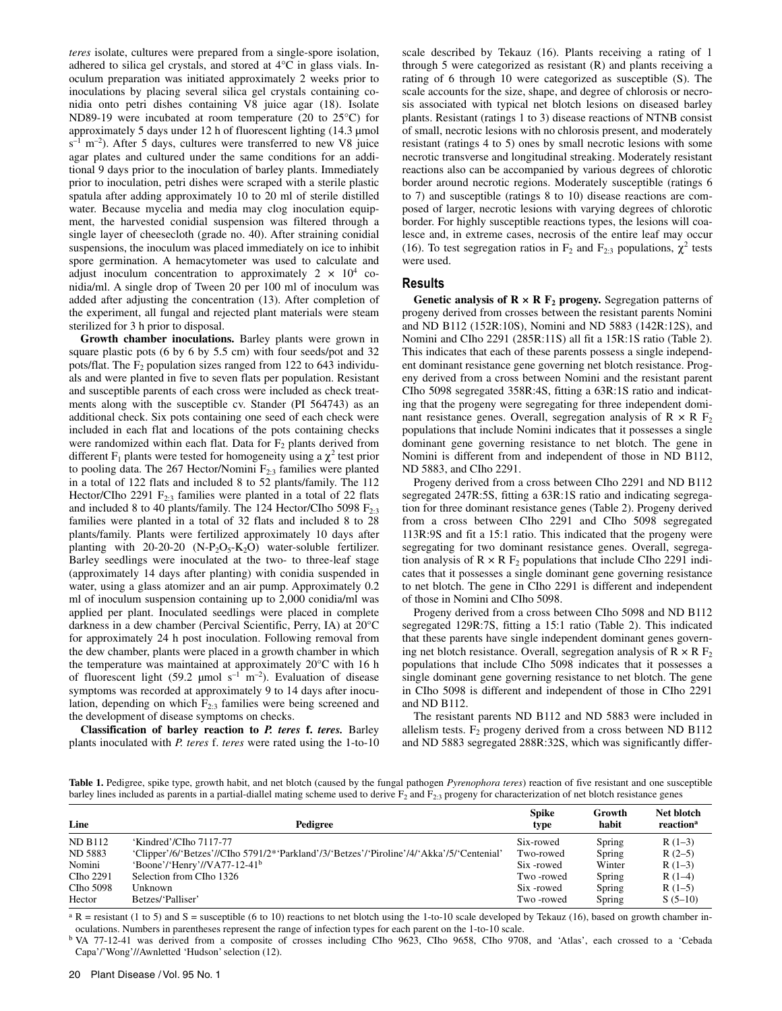*teres* isolate, cultures were prepared from a single-spore isolation, adhered to silica gel crystals, and stored at 4°C in glass vials. Inoculum preparation was initiated approximately 2 weeks prior to inoculations by placing several silica gel crystals containing conidia onto petri dishes containing V8 juice agar (18). Isolate ND89-19 were incubated at room temperature (20 to 25°C) for approximately 5 days under 12 h of fluorescent lighting (14.3 µmol  $s^{-1}$  m<sup>-2</sup>). After 5 days, cultures were transferred to new V8 juice agar plates and cultured under the same conditions for an additional 9 days prior to the inoculation of barley plants. Immediately prior to inoculation, petri dishes were scraped with a sterile plastic spatula after adding approximately 10 to 20 ml of sterile distilled water. Because mycelia and media may clog inoculation equipment, the harvested conidial suspension was filtered through a single layer of cheesecloth (grade no. 40). After straining conidial suspensions, the inoculum was placed immediately on ice to inhibit spore germination. A hemacytometer was used to calculate and adjust inoculum concentration to approximately  $2 \times 10^4$  conidia/ml. A single drop of Tween 20 per 100 ml of inoculum was added after adjusting the concentration (13). After completion of the experiment, all fungal and rejected plant materials were steam sterilized for 3 h prior to disposal.

**Growth chamber inoculations.** Barley plants were grown in square plastic pots (6 by 6 by 5.5 cm) with four seeds/pot and 32 pots/flat. The  $F_2$  population sizes ranged from 122 to 643 individuals and were planted in five to seven flats per population. Resistant and susceptible parents of each cross were included as check treatments along with the susceptible cv. Stander (PI 564743) as an additional check. Six pots containing one seed of each check were included in each flat and locations of the pots containing checks were randomized within each flat. Data for  $F_2$  plants derived from different F<sub>1</sub> plants were tested for homogeneity using a  $\chi^2$  test prior to pooling data. The 267 Hector/Nomini  $F_{2:3}$  families were planted in a total of 122 flats and included 8 to 52 plants/family. The 112 Hector/CIho 2291  $F_{2:3}$  families were planted in a total of 22 flats and included 8 to 40 plants/family. The 124 Hector/CIho 5098  $F_{2,3}$ families were planted in a total of 32 flats and included 8 to 28 plants/family. Plants were fertilized approximately 10 days after planting with  $20-20-20$  (N-P<sub>2</sub>O<sub>5</sub>-K<sub>2</sub>O) water-soluble fertilizer. Barley seedlings were inoculated at the two- to three-leaf stage (approximately 14 days after planting) with conidia suspended in water, using a glass atomizer and an air pump. Approximately 0.2 ml of inoculum suspension containing up to 2,000 conidia/ml was applied per plant. Inoculated seedlings were placed in complete darkness in a dew chamber (Percival Scientific, Perry, IA) at 20°C for approximately 24 h post inoculation. Following removal from the dew chamber, plants were placed in a growth chamber in which the temperature was maintained at approximately 20°C with 16 h of fluorescent light (59.2 µmol  $s^{-1}$  m<sup>-2</sup>). Evaluation of disease symptoms was recorded at approximately 9 to 14 days after inoculation, depending on which  $F_{2,3}$  families were being screened and the development of disease symptoms on checks.

**Classification of barley reaction to** *P. teres* **f.** *teres.* Barley plants inoculated with *P. teres* f. *teres* were rated using the 1-to-10 scale described by Tekauz (16). Plants receiving a rating of 1 through 5 were categorized as resistant (R) and plants receiving a rating of 6 through 10 were categorized as susceptible (S). The scale accounts for the size, shape, and degree of chlorosis or necrosis associated with typical net blotch lesions on diseased barley plants. Resistant (ratings 1 to 3) disease reactions of NTNB consist of small, necrotic lesions with no chlorosis present, and moderately resistant (ratings 4 to 5) ones by small necrotic lesions with some necrotic transverse and longitudinal streaking. Moderately resistant reactions also can be accompanied by various degrees of chlorotic border around necrotic regions. Moderately susceptible (ratings 6 to 7) and susceptible (ratings 8 to 10) disease reactions are composed of larger, necrotic lesions with varying degrees of chlorotic border. For highly susceptible reactions types, the lesions will coalesce and, in extreme cases, necrosis of the entire leaf may occur (16). To test segregation ratios in  $F_2$  and  $F_{2:3}$  populations,  $\chi^2$  tests were used.

## **Results**

**Genetic analysis of**  $\mathbb{R} \times \mathbb{R}$  $\mathbb{F}_2$  **progeny.** Segregation patterns of progeny derived from crosses between the resistant parents Nomini and ND B112 (152R:10S), Nomini and ND 5883 (142R:12S), and Nomini and CIho 2291 (285R:11S) all fit a 15R:1S ratio (Table 2). This indicates that each of these parents possess a single independent dominant resistance gene governing net blotch resistance. Progeny derived from a cross between Nomini and the resistant parent CIho 5098 segregated 358R:4S, fitting a 63R:1S ratio and indicating that the progeny were segregating for three independent dominant resistance genes. Overall, segregation analysis of  $R \times R$   $F_2$ populations that include Nomini indicates that it possesses a single dominant gene governing resistance to net blotch. The gene in Nomini is different from and independent of those in ND B112, ND 5883, and CIho 2291.

Progeny derived from a cross between CIho 2291 and ND B112 segregated 247R:5S, fitting a 63R:1S ratio and indicating segregation for three dominant resistance genes (Table 2). Progeny derived from a cross between CIho 2291 and CIho 5098 segregated 113R:9S and fit a 15:1 ratio. This indicated that the progeny were segregating for two dominant resistance genes. Overall, segregation analysis of  $R \times R$   $F_2$  populations that include CIho 2291 indicates that it possesses a single dominant gene governing resistance to net blotch. The gene in CIho 2291 is different and independent of those in Nomini and CIho 5098.

Progeny derived from a cross between CIho 5098 and ND B112 segregated 129R:7S, fitting a 15:1 ratio (Table 2). This indicated that these parents have single independent dominant genes governing net blotch resistance. Overall, segregation analysis of  $R \times R$   $F_2$ populations that include CIho 5098 indicates that it possesses a single dominant gene governing resistance to net blotch. The gene in CIho 5098 is different and independent of those in CIho 2291 and ND B112.

The resistant parents ND B112 and ND 5883 were included in allelism tests.  $F_2$  progeny derived from a cross between ND B112 and ND 5883 segregated 288R:32S, which was significantly differ-

**Table 1.** Pedigree, spike type, growth habit, and net blotch (caused by the fungal pathogen *Pyrenophora teres*) reaction of five resistant and one susceptible barley lines included as parents in a partial-diallel mating scheme used to derive  $F_2$  and  $F_{2:3}$  progeny for characterization of net blotch resistance genes

| Line           | Pedigree                                                                                  | <b>Spike</b><br>type | Growth<br>habit | Net blotch<br>reaction <sup>a</sup> |
|----------------|-------------------------------------------------------------------------------------------|----------------------|-----------------|-------------------------------------|
| <b>ND B112</b> | 'Kindred'/CIho 7117-77                                                                    | Six-rowed            | Spring          | $R(1-3)$                            |
| ND 5883        | 'Clipper'/6/'Betzes'//CIho 5791/2*'Parkland'/3/'Betzes'/'Piroline'/4/'Akka'/5/'Centenial' | Two-rowed            | Spring          | $R(2-5)$                            |
| Nomini         | 'Boone'/'Henry'//VA77-12-41 <sup>b</sup>                                                  | Six -rowed           | Winter          | $R(1-3)$                            |
| CIho 2291      | Selection from CIho 1326                                                                  | Two-rowed            | Spring          | $R(1-4)$                            |
| CIho 5098      | Unknown                                                                                   | Six -rowed           | Spring          | $R(1-5)$                            |
| Hector         | Betzes/'Palliser'                                                                         | Two-rowed            | Spring          | $S(5-10)$                           |

 $a R$  = resistant (1 to 5) and S = susceptible (6 to 10) reactions to net blotch using the 1-to-10 scale developed by Tekauz (16), based on growth chamber inoculations. Numbers in parentheses represent the range of infection types for each parent on the 1-to-10 scale.

b VA 77-12-41 was derived from a composite of crosses including CIho 9623, CIho 9658, CIho 9708, and 'Atlas', each crossed to a 'Cebada Capa'/'Wong'//Awnletted 'Hudson' selection (12).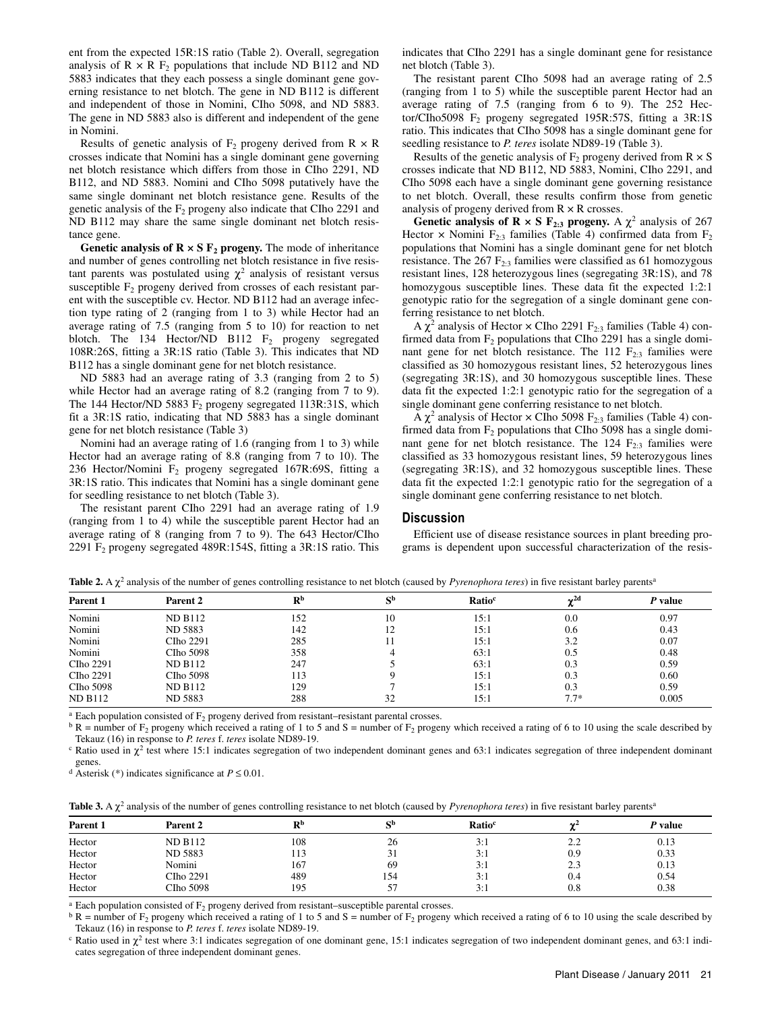ent from the expected 15R:1S ratio (Table 2). Overall, segregation analysis of  $R \times R$  F<sub>2</sub> populations that include ND B112 and ND 5883 indicates that they each possess a single dominant gene governing resistance to net blotch. The gene in ND B112 is different and independent of those in Nomini, CIho 5098, and ND 5883. The gene in ND 5883 also is different and independent of the gene in Nomini.

Results of genetic analysis of  $F_2$  progeny derived from  $R \times R$ crosses indicate that Nomini has a single dominant gene governing net blotch resistance which differs from those in CIho 2291, ND B112, and ND 5883. Nomini and CIho 5098 putatively have the same single dominant net blotch resistance gene. Results of the genetic analysis of the  $F_2$  progeny also indicate that CIho 2291 and ND B112 may share the same single dominant net blotch resistance gene.

**Genetic analysis of**  $\mathbb{R} \times \mathbb{S}$  $\mathbb{F}_2$  **progeny.** The mode of inheritance and number of genes controlling net blotch resistance in five resistant parents was postulated using  $\chi^2$  analysis of resistant versus susceptible  $F_2$  progeny derived from crosses of each resistant parent with the susceptible cv. Hector. ND B112 had an average infection type rating of 2 (ranging from 1 to 3) while Hector had an average rating of 7.5 (ranging from 5 to 10) for reaction to net blotch. The 134 Hector/ND B112  $F_2$  progeny segregated 108R:26S, fitting a 3R:1S ratio (Table 3). This indicates that ND B112 has a single dominant gene for net blotch resistance.

ND 5883 had an average rating of 3.3 (ranging from 2 to 5) while Hector had an average rating of 8.2 (ranging from 7 to 9). The 144 Hector/ND 5883  $F_2$  progeny segregated 113R:31S, which fit a 3R:1S ratio, indicating that ND 5883 has a single dominant gene for net blotch resistance (Table 3)

Nomini had an average rating of 1.6 (ranging from 1 to 3) while Hector had an average rating of 8.8 (ranging from 7 to 10). The 236 Hector/Nomini F2 progeny segregated 167R:69S, fitting a 3R:1S ratio. This indicates that Nomini has a single dominant gene for seedling resistance to net blotch (Table 3).

The resistant parent CIho 2291 had an average rating of 1.9 (ranging from 1 to 4) while the susceptible parent Hector had an average rating of 8 (ranging from 7 to 9). The 643 Hector/CIho 2291 F2 progeny segregated 489R:154S, fitting a 3R:1S ratio. This indicates that CIho 2291 has a single dominant gene for resistance net blotch (Table 3).

The resistant parent CIho 5098 had an average rating of 2.5 (ranging from 1 to 5) while the susceptible parent Hector had an average rating of 7.5 (ranging from 6 to 9). The 252 Hector/CIho5098  $F_2$  progeny segregated 195R:57S, fitting a 3R:1S ratio. This indicates that CIho 5098 has a single dominant gene for seedling resistance to *P. teres* isolate ND89-19 (Table 3).

Results of the genetic analysis of  $F_2$  progeny derived from  $R \times S$ crosses indicate that ND B112, ND 5883, Nomini, CIho 2291, and CIho 5098 each have a single dominant gene governing resistance to net blotch. Overall, these results confirm those from genetic analysis of progeny derived from  $R \times R$  crosses.

**Genetic analysis of R**  $\times$  **S F<sub>2:3</sub> progeny.** A  $\chi^2$  analysis of 267 Hector  $\times$  Nomini  $F_{2:3}$  families (Table 4) confirmed data from  $F_2$ populations that Nomini has a single dominant gene for net blotch resistance. The  $267 \text{ F}_{2:3}$  families were classified as 61 homozygous resistant lines, 128 heterozygous lines (segregating 3R:1S), and 78 homozygous susceptible lines. These data fit the expected 1:2:1 genotypic ratio for the segregation of a single dominant gene conferring resistance to net blotch.

A  $\chi^2$  analysis of Hector  $\times$  CIho 2291 F<sub>2:3</sub> families (Table 4) confirmed data from  $F_2$  populations that CIho 2291 has a single dominant gene for net blotch resistance. The  $112 \text{ F}_{2:3}$  families were classified as 30 homozygous resistant lines, 52 heterozygous lines (segregating 3R:1S), and 30 homozygous susceptible lines. These data fit the expected 1:2:1 genotypic ratio for the segregation of a single dominant gene conferring resistance to net blotch.

A  $\chi^2$  analysis of Hector  $\times$  CIho 5098 F<sub>2:3</sub> families (Table 4) confirmed data from  $F_2$  populations that CIho 5098 has a single dominant gene for net blotch resistance. The  $124 \text{ F}_{2:3}$  families were classified as 33 homozygous resistant lines, 59 heterozygous lines (segregating 3R:1S), and 32 homozygous susceptible lines. These data fit the expected 1:2:1 genotypic ratio for the segregation of a single dominant gene conferring resistance to net blotch.

#### **Discussion**

Efficient use of disease resistance sources in plant breeding programs is dependent upon successful characterization of the resis-

| Parent 1       | Parent 2       | R <sub>p</sub> | сb | Ratio <sup>c</sup> | $\mathbf{v}^{\mathrm{2d}}$<br>n. | P value |
|----------------|----------------|----------------|----|--------------------|----------------------------------|---------|
| Nomini         | <b>ND B112</b> | 152            | 10 | 15:1               | 0.0                              | 0.97    |
| Nomini         | ND 5883        | 142            | 12 | 15:1               | 0.6                              | 0.43    |
| Nomini         | CIho 2291      | 285            |    | 15:1               | 3.2                              | 0.07    |
| Nomini         | CIho 5098      | 358            |    | 63:1               | 0.5                              | 0.48    |
| CIho 2291      | <b>ND B112</b> | 247            |    | 63:1               | 0.3                              | 0.59    |
| CIho 2291      | CIho 5098      | 113            |    | 15:1               | 0.3                              | 0.60    |
| CIho 5098      | <b>ND B112</b> | 129            |    | 15:1               | 0.3                              | 0.59    |
| <b>ND B112</b> | ND 5883        | 288            | 32 | 15:1               | $7.7*$                           | 0.005   |

Table 2. A  $\chi^2$  analysis of the number of genes controlling resistance to net blotch (caused by *Pyrenophora teres*) in five resistant barley parents<sup>a</sup>

<sup>a</sup> Each population consisted of F<sub>2</sub> progeny derived from resistant–resistant parental crosses.<br><sup>b</sup> R = number of F<sub>2</sub> progeny which received a rating of 1 to 5 and S = number of F<sub>2</sub> progeny which received a rating of 6 Tekauz (16) in response to *P. teres* f. *teres* isolate ND89-19.<br><sup>c</sup> Ratio used in  $\chi^2$  test where 15:1 indicates segregation of two independent dominant genes and 63:1 indicates segregation of three independent domina

genes.

<sup>d</sup> Asterisk (\*) indicates significance at  $P \le 0.01$ .

| Table 3. A $\chi^2$ analysis of the number of genes controlling resistance to net blotch (caused by <i>Pyrenophora teres</i> ) in five resistant barley parents <sup>a</sup> |  |
|------------------------------------------------------------------------------------------------------------------------------------------------------------------------------|--|
|------------------------------------------------------------------------------------------------------------------------------------------------------------------------------|--|

| Parent 1 | Parent 2       | Db  | сb  | Ratio <sup>c</sup> | ns 4                  | <i>P</i> value |
|----------|----------------|-----|-----|--------------------|-----------------------|----------------|
| Hector   | <b>ND B112</b> | 108 | 26  | 3:1                | າາ<br><u>_ _</u>      | 0.13           |
| Hector   | ND 5883        | 113 | 31  | 3:1                | 0.9                   | 0.33           |
| Hector   | Nomini         | 167 | 69  | 3:1                | 2 <sub>3</sub><br>ن ک | 0.13           |
| Hector   | CIho 2291      | 489 | 154 | 3:1                | 0.4                   | 0.54           |
| Hector   | CIho 5098      | 195 | 57  | 3:1                | 0.8                   | 0.38           |

<sup>a</sup> Each population consisted of F<sub>2</sub> progeny derived from resistant–susceptible parental crosses.<br><sup>b</sup> R = number of F<sub>2</sub> progeny which received a rating of 1 to 5 and S = number of F<sub>2</sub> progeny which received a rating of

 $\textdegree$  Ratio used in  $\chi^2$  test where 3:1 indicates segregation of one dominant gene, 15:1 indicates segregation of two independent dominant genes, and 63:1 indicates segregation of three independent dominant genes.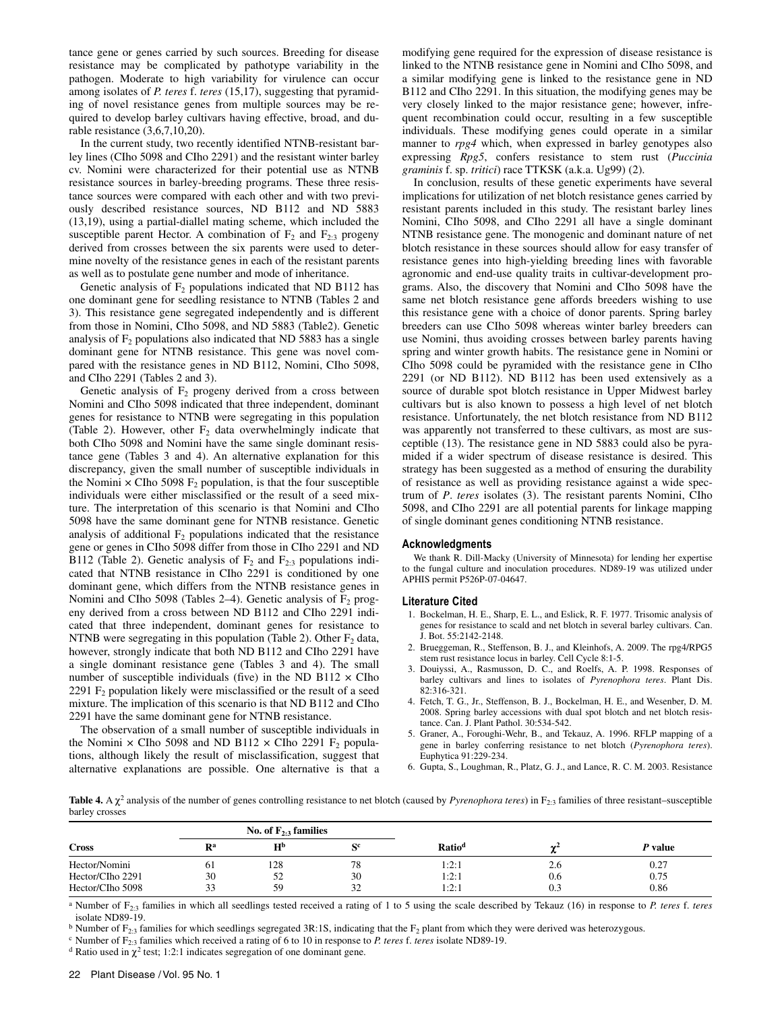tance gene or genes carried by such sources. Breeding for disease resistance may be complicated by pathotype variability in the pathogen. Moderate to high variability for virulence can occur among isolates of *P. teres* f. *teres* (15,17), suggesting that pyramiding of novel resistance genes from multiple sources may be required to develop barley cultivars having effective, broad, and durable resistance (3,6,7,10,20).

In the current study, two recently identified NTNB-resistant barley lines (CIho 5098 and CIho 2291) and the resistant winter barley cv. Nomini were characterized for their potential use as NTNB resistance sources in barley-breeding programs. These three resistance sources were compared with each other and with two previously described resistance sources, ND B112 and ND 5883 (13,19), using a partial-diallel mating scheme, which included the susceptible parent Hector. A combination of  $F_2$  and  $F_{2:3}$  progeny derived from crosses between the six parents were used to determine novelty of the resistance genes in each of the resistant parents as well as to postulate gene number and mode of inheritance.

Genetic analysis of  $F_2$  populations indicated that ND B112 has one dominant gene for seedling resistance to NTNB (Tables 2 and 3). This resistance gene segregated independently and is different from those in Nomini, CIho 5098, and ND 5883 (Table2). Genetic analysis of  $F_2$  populations also indicated that ND 5883 has a single dominant gene for NTNB resistance. This gene was novel compared with the resistance genes in ND B112, Nomini, CIho 5098, and CIho 2291 (Tables 2 and 3).

Genetic analysis of  $F_2$  progeny derived from a cross between Nomini and CIho 5098 indicated that three independent, dominant genes for resistance to NTNB were segregating in this population (Table 2). However, other  $F_2$  data overwhelmingly indicate that both CIho 5098 and Nomini have the same single dominant resistance gene (Tables 3 and 4). An alternative explanation for this discrepancy, given the small number of susceptible individuals in the Nomini  $\times$  CIho 5098  $F_2$  population, is that the four susceptible individuals were either misclassified or the result of a seed mixture. The interpretation of this scenario is that Nomini and CIho 5098 have the same dominant gene for NTNB resistance. Genetic analysis of additional  $F_2$  populations indicated that the resistance gene or genes in CIho 5098 differ from those in CIho 2291 and ND B112 (Table 2). Genetic analysis of  $F_2$  and  $F_{2:3}$  populations indicated that NTNB resistance in CIho 2291 is conditioned by one dominant gene, which differs from the NTNB resistance genes in Nomini and CIho 5098 (Tables 2–4). Genetic analysis of  $F<sub>2</sub>$  progeny derived from a cross between ND B112 and CIho 2291 indicated that three independent, dominant genes for resistance to NTNB were segregating in this population (Table 2). Other  $F_2$  data, however, strongly indicate that both ND B112 and CIho 2291 have a single dominant resistance gene (Tables 3 and 4). The small number of susceptible individuals (five) in the ND B112  $\times$  Clho 2291  $F<sub>2</sub>$  population likely were misclassified or the result of a seed mixture. The implication of this scenario is that ND B112 and CIho 2291 have the same dominant gene for NTNB resistance.

The observation of a small number of susceptible individuals in the Nomini  $\times$  CIho 5098 and ND B112  $\times$  CIho 2291 F<sub>2</sub> populations, although likely the result of misclassification, suggest that alternative explanations are possible. One alternative is that a modifying gene required for the expression of disease resistance is linked to the NTNB resistance gene in Nomini and CIho 5098, and a similar modifying gene is linked to the resistance gene in ND B112 and CIho 2291. In this situation, the modifying genes may be very closely linked to the major resistance gene; however, infrequent recombination could occur, resulting in a few susceptible individuals. These modifying genes could operate in a similar manner to *rpg4* which, when expressed in barley genotypes also expressing *Rpg5*, confers resistance to stem rust (*Puccinia graminis* f. sp. *tritici*) race TTKSK (a.k.a. Ug99) (2).

In conclusion, results of these genetic experiments have several implications for utilization of net blotch resistance genes carried by resistant parents included in this study. The resistant barley lines Nomini, CIho 5098, and CIho 2291 all have a single dominant NTNB resistance gene. The monogenic and dominant nature of net blotch resistance in these sources should allow for easy transfer of resistance genes into high-yielding breeding lines with favorable agronomic and end-use quality traits in cultivar-development programs. Also, the discovery that Nomini and CIho 5098 have the same net blotch resistance gene affords breeders wishing to use this resistance gene with a choice of donor parents. Spring barley breeders can use CIho 5098 whereas winter barley breeders can use Nomini, thus avoiding crosses between barley parents having spring and winter growth habits. The resistance gene in Nomini or CIho 5098 could be pyramided with the resistance gene in CIho 2291 (or ND B112). ND B112 has been used extensively as a source of durable spot blotch resistance in Upper Midwest barley cultivars but is also known to possess a high level of net blotch resistance. Unfortunately, the net blotch resistance from ND B112 was apparently not transferred to these cultivars, as most are susceptible (13). The resistance gene in ND 5883 could also be pyramided if a wider spectrum of disease resistance is desired. This strategy has been suggested as a method of ensuring the durability of resistance as well as providing resistance against a wide spectrum of *P*. *teres* isolates (3). The resistant parents Nomini, CIho 5098, and CIho 2291 are all potential parents for linkage mapping of single dominant genes conditioning NTNB resistance.

#### **Acknowledgments**

We thank R. Dill-Macky (University of Minnesota) for lending her expertise to the fungal culture and inoculation procedures. ND89-19 was utilized under APHIS permit P526P-07-04647.

#### **Literature Cited**

- 1. Bockelman, H. E., Sharp, E. L., and Eslick, R. F. 1977. Trisomic analysis of genes for resistance to scald and net blotch in several barley cultivars. Can. J. Bot. 55:2142-2148.
- 2. Brueggeman, R., Steffenson, B. J., and Kleinhofs, A. 2009. The rpg4/RPG5 stem rust resistance locus in barley. Cell Cycle 8:1-5.
- 3. Douiyssi, A., Rasmusson, D. C., and Roelfs, A. P. 1998. Responses of barley cultivars and lines to isolates of *Pyrenophora teres*. Plant Dis. 82:316-321.
- 4. Fetch, T. G., Jr., Steffenson, B. J., Bockelman, H. E., and Wesenber, D. M. 2008. Spring barley accessions with dual spot blotch and net blotch resistance. Can. J. Plant Pathol. 30:534-542.
- 5. Graner, A., Foroughi-Wehr, B., and Tekauz, A. 1996. RFLP mapping of a gene in barley conferring resistance to net blotch (*Pyrenophora teres*). Euphytica 91:229-234.
- 6. Gupta, S., Loughman, R., Platz, G. J., and Lance, R. C. M. 2003. Resistance

Table 4. A χ<sup>2</sup> analysis of the number of genes controlling resistance to net blotch (caused by *Pyrenophora teres*) in F<sub>2:3</sub> families of three resistant–susceptible barley crosses

|                  | No. of $F_{2:3}$ families |                |    |                    |          |         |
|------------------|---------------------------|----------------|----|--------------------|----------|---------|
| <b>Cross</b>     | $\mathbf{R}^{\mathbf{a}}$ | H <sub>p</sub> | cс | Ratio <sup>d</sup> | ne4<br>w | P value |
| Hector/Nomini    | 61                        | 128            | 78 | 1:2:1              | 2.6      | 0.27    |
| Hector/CIho 2291 | 30                        | 52             | 30 | 1:2:1              | 0.6      | 0.75    |
| Hector/CIho 5098 | 33                        | 59             | 32 | 1:2:1              | 0.3      | 0.86    |

a Number of F2:3 families in which all seedlings tested received a rating of 1 to 5 using the scale described by Tekauz (16) in response to *P. teres* f. *teres* isolate ND89-19.

<sup>b</sup> Number of F<sub>2:3</sub> families for which seedlings segregated 3R:1S, indicating that the F<sub>2</sub> plant from which they were derived was heterozygous.<br><sup>c</sup> Number of F<sub>2:3</sub> families which received a rating of 6 to 10 in respons